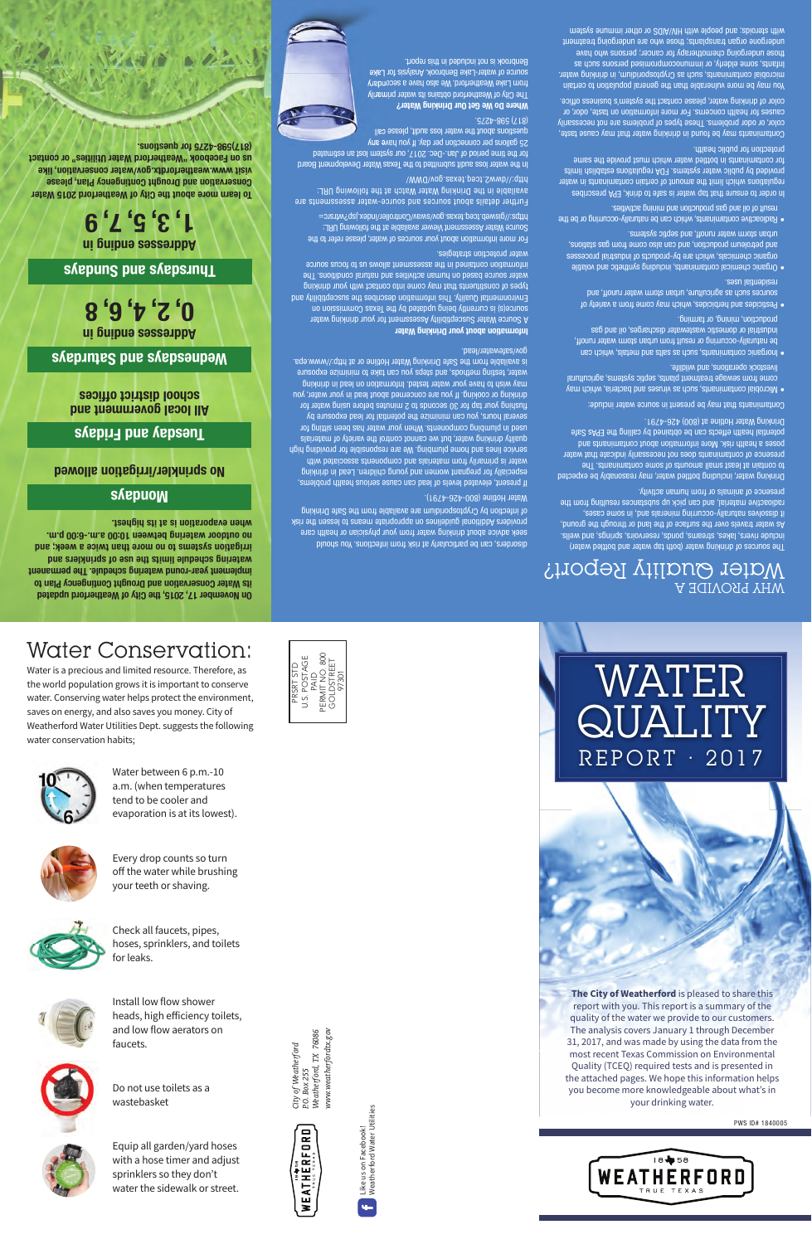# Water Conservation:

Water is a precious and limited resource. Therefore, as the world population grows it is important to conserve water. Conserving water helps protect the environment, saves on energy, and also saves you money. City of Weatherford Water Utilities Dept. suggests the following water conservation habits;





Water between 6 p.m.-10 a.m. (when temperatures tend to be cooler and evaporation is at its lowest).



Every drop counts so turn off the water while brushing your teeth or shaving.



Check all faucets, pipes, hoses, sprinklers, and toilets for leaks.



Install low flow shower heads, high efficiency toilets, and low flow aerators on faucets.



Do not use toilets as a wastebasket



Equip all garden/yard hoses with a hose timer and adjust sprinklers so they don't water the sidewalk or street.

www.weatherfordtx.gov *www.weatherfordtx.gov Weatherford, TX 76086* City of Weatherford *City of Weatherford* P.O. Box 255 *P.O. Box 255*



Like us on Facebook!<br>Weatherford Water Utilities Weatherford Water Utilities Like us on Facebook! ц.

# WATER QUALITY REPORT · 2017



PWS ID# 1840005

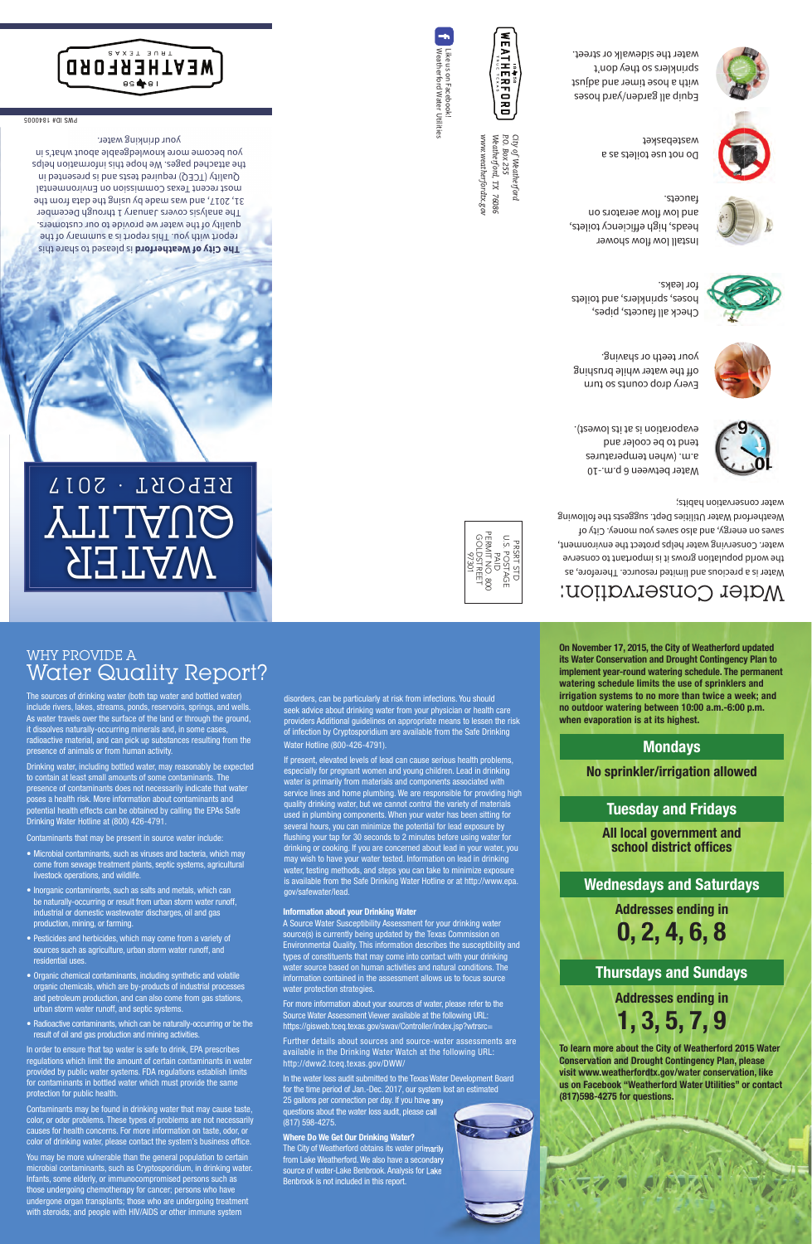# WHY PROVIDE A Water Quality Report?

The sources of drinking water (both tap water and bottled water) include rivers, lakes, streams, ponds, reservoirs, springs, and wells. As water travels over the surface of the land or through the ground, it dissolves naturally-occurring minerals and, in some cases, radioactive material, and can pick up substances resulting from the presence of animals or from human activity.

Drinking water, including bottled water, may reasonably be expected to contain at least small amounts of some contaminants. The presence of contaminants does not necessarily indicate that water poses a health risk. More information about contaminants and potential health effects can be obtained by calling the EPAs Safe Drinking Water Hotline at (800) 426-4791.

Contaminants that may be present in source water include:

- Microbial contaminants, such as viruses and bacteria, which may come from sewage treatment plants, septic systems, agricultural livestock operations, and wildlife.
- Inorganic contaminants, such as salts and metals, which can be naturally-occurring or result from urban storm water runoff, industrial or domestic wastewater discharges, oil and gas production, mining, or farming.
- Pesticides and herbicides, which may come from a variety of sources such as agriculture, urban storm water runoff, and residential uses.
- Organic chemical contaminants, including synthetic and volatile organic chemicals, which are by-products of industrial processes and petroleum production, and can also come from gas stations, urban storm water runoff, and septic systems.
- Radioactive contaminants, which can be naturally-occurring or be the result of oil and gas production and mining activities.

In order to ensure that tap water is safe to drink, EPA prescribes regulations which limit the amount of certain contaminants in water provided by public water systems. FDA regulations establish limits for contaminants in bottled water which must provide the same protection for public health.

Contaminants may be found in drinking water that may cause taste, color, or odor problems. These types of problems are not necessarily causes for health concerns. For more information on taste, odor, or color of drinking water, please contact the system's business office.

You may be more vulnerable than the general population to certain microbial contaminants, such as Cryptosporidium, in drinking water. Infants, some elderly, or immunocompromised persons such as those undergoing chemotherapy for cancer; persons who have undergone organ transplants; those who are undergoing treatment with steroids; and people with HIV/AIDS or other immune system

disorders, can be particularly at risk from infections. You should seek advice about drinking water from your physician or health care providers Additional guidelines on appropriate means to lessen the risk of infection by Cryptosporidium are available from the Safe Drinking Water Hotline (800-426-4791).

If present, elevated levels of lead can cause serious health problems, especially for pregnant women and young children. Lead in drinking water is primarily from materials and components associated with service lines and home plumbing. We are responsible for providing high quality drinking water, but we cannot control the variety of materials used in plumbing components. When your water has been sitting for several hours, you can minimize the potential for lead exposure by flushing your tap for 30 seconds to 2 minutes before using water for drinking or cooking. If you are concerned about lead in your water, you may wish to have your water tested. Information on lead in drinking water, testing methods, and steps you can take to minimize exposure is available from the Safe Drinking Water Hotline or at http://www.epa. gov/safewater/lead.

#### Information about your Drinking Water

A Source Water Susceptibility Assessment for your drinking water source(s) is currently being updated by the Texas Commission on Environmental Quality. This information describes the susceptibility and types of constituents that may come into contact with your drinking water source based on human activities and natural conditions. The information contained in the assessment allows us to focus source water protection strategies.

For more information about your sources of water, please refer to the Source Water Assessment Viewer available at the following URL: https://gisweb.tceg.texas.gov/swav/Controller/index.jsp?wtrsrc=

Further details about sources and source-water assessments are available in the Drinking Water Watch at the following URL: http://dww2.tceq.texas.gov/DWW/

In the water loss audit submitted to the Texas Water Development Board for the time period of Jan.-Dec. 2017, our system lost an estimated 25 gallons per connection per day. If you have any questions about the water loss audit, please call (817) 598-4275.

#### Where Do We Get Our Drinking Water?

The City of Weatherford obtains its water primarily from Lake Weatherford. We also have a secondary source of water-Lake Benbrook. Analysis for Lake Benbrook is not included in this report.

On November 17, 2015, the City of Weatherford updated its Water Conservation and Drought Contingency Plan to implement year-round watering schedule. The permanent watering schedule limits the use of sprinklers and irrigation systems to no more than twice a week; and no outdoor watering between 10:00 a.m.-6:00 p.m. when evaporation is at its highest.

# **Mondays**

No sprinkler/irrigation allowed

#### Tuesday and Fridays

All local government and school district offices

# Wednesdays and Saturdays

Addresses ending in

0, 2, 4, 6, 8

# Thursdays and Sundays

Addresses ending in

1, 3, 5, 7, 9

To learn more about the City of Weatherford 2015 Water Conservation and Drought Contingency Plan, please visit www.weatherfordtx.gov/water conservation, like us on Facebook "Weatherford Water Utilities" or contact (817)598-4275 for questions.